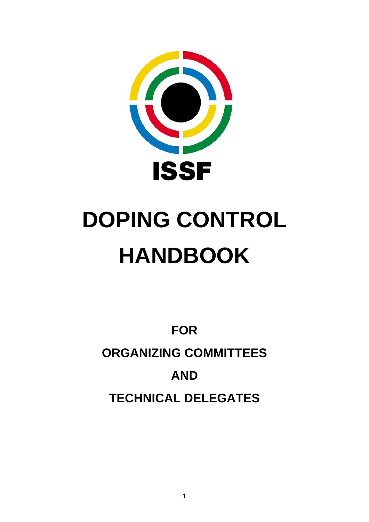

# **DOPING CONTROL HANDBOOK**

**FOR ORGANIZING COMMITTEES AND TECHNICAL DELEGATES**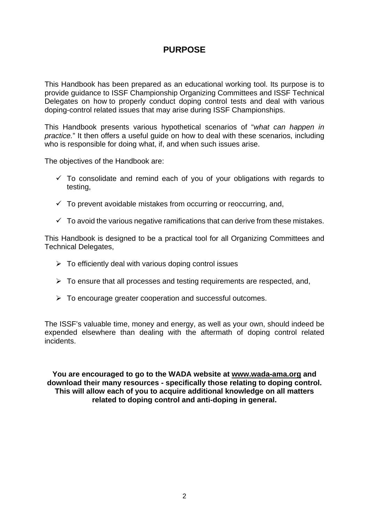## **PURPOSE**

This Handbook has been prepared as an educational working tool. Its purpose is to provide guidance to ISSF Championship Organizing Committees and ISSF Technical Delegates on how to properly conduct doping control tests and deal with various doping-control related issues that may arise during ISSF Championships.

This Handbook presents various hypothetical scenarios of "*what can happen in practice.*" It then offers a useful guide on how to deal with these scenarios, including who is responsible for doing what, if, and when such issues arise.

The objectives of the Handbook are:

- $\checkmark$  To consolidate and remind each of you of your obligations with regards to testing,
- $\checkmark$  To prevent avoidable mistakes from occurring or reoccurring, and,
- $\checkmark$  To avoid the various negative ramifications that can derive from these mistakes.

This Handbook is designed to be a practical tool for all Organizing Committees and Technical Delegates,

- $\triangleright$  To efficiently deal with various doping control issues
- $\triangleright$  To ensure that all processes and testing requirements are respected, and,
- $\triangleright$  To encourage greater cooperation and successful outcomes.

The ISSF's valuable time, money and energy, as well as your own, should indeed be expended elsewhere than dealing with the aftermath of doping control related incidents.

**You are encouraged to go to the WADA website at [www.wada-ama.org](http://www.wada-ama.org/) and download their many resources - specifically those relating to doping control. This will allow each of you to acquire additional knowledge on all matters related to doping control and anti-doping in general.**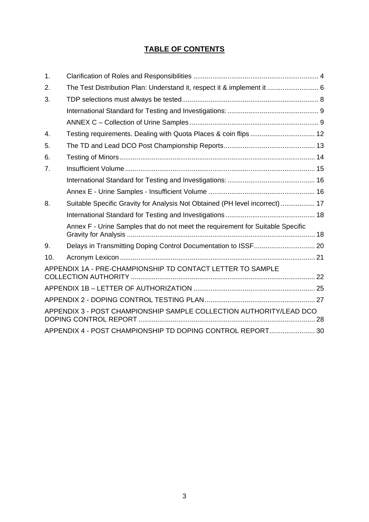### **TABLE OF CONTENTS**

| 1.  |                                                                                |  |
|-----|--------------------------------------------------------------------------------|--|
| 2.  | The Test Distribution Plan: Understand it, respect it & implement it  6        |  |
| 3.  |                                                                                |  |
|     |                                                                                |  |
|     |                                                                                |  |
| 4.  | Testing requirements. Dealing with Quota Places & coin flips  12               |  |
| 5.  |                                                                                |  |
| 6.  |                                                                                |  |
| 7.  |                                                                                |  |
|     |                                                                                |  |
|     |                                                                                |  |
| 8.  | Suitable Specific Gravity for Analysis Not Obtained (PH level incorrect)  17   |  |
|     |                                                                                |  |
|     | Annex F - Urine Samples that do not meet the requirement for Suitable Specific |  |
| 9.  | Delays in Transmitting Doping Control Documentation to ISSF 20                 |  |
| 10. |                                                                                |  |
|     | APPENDIX 1A - PRE-CHAMPIONSHIP TD CONTACT LETTER TO SAMPLE                     |  |
|     |                                                                                |  |
|     |                                                                                |  |
|     | APPENDIX 3 - POST CHAMPIONSHIP SAMPLE COLLECTION AUTHORITY/LEAD DCO            |  |
|     | APPENDIX 4 - POST CHAMPIONSHIP TD DOPING CONTROL REPORT 30                     |  |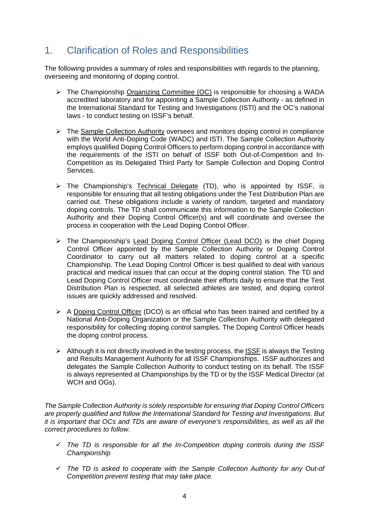## <span id="page-3-0"></span>1. Clarification of Roles and Responsibilities

The following provides a summary of roles and responsibilities with regards to the planning, overseeing and monitoring of doping control.

- $\triangleright$  The Championship Organizing Committee (OC) is responsible for choosing a WADA accredited laboratory and for appointing a Sample Collection Authority - as defined in the International Standard for Testing and Investigations (ISTI) and the OC's national laws - to conduct testing on ISSF's behalf.
- The Sample Collection Authority oversees and monitors doping control in compliance with the World Anti-Doping Code (WADC) and ISTI. The Sample Collection Authority employs qualified Doping Control Officers to perform doping control in accordance with the requirements of the ISTI on behalf of ISSF both Out-of-Competition and In-Competition as its Delegated Third Party for Sample Collection and Doping Control Services.
- > The Championship's Technical Delegate (TD), who is appointed by ISSF, is responsible for ensuring that all testing obligations under the Test Distribution Plan are carried out. These obligations include a variety of random, targeted and mandatory doping controls. The TD shall communicate this information to the Sample Collection Authority and their Doping Control Officer(s) and will coordinate and oversee the process in cooperation with the Lead Doping Control Officer.
- The Championship's Lead Doping Control Officer (Lead DCO) is the chief Doping Control Officer appointed by the Sample Collection Authority or Doping Control Coordinator to carry out all matters related to doping control at a specific Championship. The Lead Doping Control Officer is best qualified to deal with various practical and medical issues that can occur at the doping control station. The TD and Lead Doping Control Officer must coordinate their efforts daily to ensure that the Test Distribution Plan is respected, all selected athletes are tested, and doping control issues are quickly addressed and resolved.
- $\triangleright$  A Doping Control Officer (DCO) is an official who has been trained and certified by a National Anti-Doping Organization or the Sample Collection Authority with delegated responsibility for collecting doping control samples. The Doping Control Officer heads the doping control process.
- $\triangleright$  Although it is not directly involved in the testing process, the ISSF is always the Testing and Results Management Authority for all ISSF Championships. ISSF authorizes and delegates the Sample Collection Authority to conduct testing on its behalf. The ISSF is always represented at Championships by the TD or by the ISSF Medical Director (at WCH and OGs).

*The Sample Collection Authority is solely responsible for ensuring that Doping Control Officers are properly qualified and follow the International Standard for Testing and Investigations. But it is important that OCs and TDs are aware of everyone's responsibilities, as well as all the correct procedures to follow.*

- *The TD is responsible for all the In-Competition doping controls during the ISSF Championship*
- *The TD is asked to cooperate with the Sample Collection Authority for any Out-of Competition prevent testing that may take place.*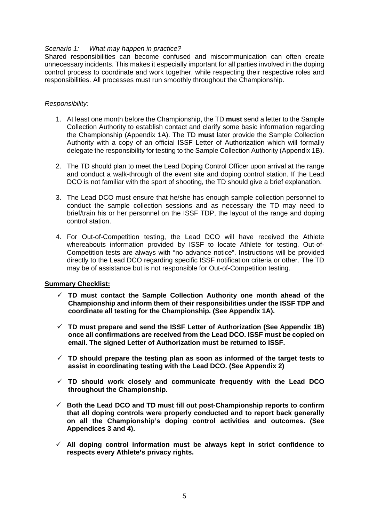#### *Scenario 1: What may happen in practice?*

Shared responsibilities can become confused and miscommunication can often create unnecessary incidents. This makes it especially important for all parties involved in the doping control process to coordinate and work together, while respecting their respective roles and responsibilities. All processes must run smoothly throughout the Championship.

#### *Responsibility:*

- 1. At least one month before the Championship, the TD **must** send a letter to the Sample Collection Authority to establish contact and clarify some basic information regarding the Championship (Appendix 1A). The TD **must** later provide the Sample Collection Authority with a copy of an official ISSF Letter of Authorization which will formally delegate the responsibility for testing to the Sample Collection Authority (Appendix 1B).
- 2. The TD should plan to meet the Lead Doping Control Officer upon arrival at the range and conduct a walk-through of the event site and doping control station. If the Lead DCO is not familiar with the sport of shooting, the TD should give a brief explanation.
- 3. The Lead DCO must ensure that he/she has enough sample collection personnel to conduct the sample collection sessions and as necessary the TD may need to brief/train his or her personnel on the ISSF TDP, the layout of the range and doping control station.
- 4. For Out-of-Competition testing, the Lead DCO will have received the Athlete whereabouts information provided by ISSF to locate Athlete for testing. Out-of-Competition tests are always with "no advance notice". Instructions will be provided directly to the Lead DCO regarding specific ISSF notification criteria or other. The TD may be of assistance but is not responsible for Out-of-Competition testing.

#### **Summary Checklist:**

- **TD must contact the Sample Collection Authority one month ahead of the Championship and inform them of their responsibilities under the ISSF TDP and coordinate all testing for the Championship. (See Appendix 1A).**
- **TD must prepare and send the ISSF Letter of Authorization (See Appendix 1B) once all confirmations are received from the Lead DCO. ISSF must be copied on email. The signed Letter of Authorization must be returned to ISSF.**
- **TD should prepare the testing plan as soon as informed of the target tests to assist in coordinating testing with the Lead DCO. (See Appendix 2)**
- **TD should work closely and communicate frequently with the Lead DCO throughout the Championship.**
- **Both the Lead DCO and TD must fill out post-Championship reports to confirm that all doping controls were properly conducted and to report back generally on all the Championship's doping control activities and outcomes. (See Appendices 3 and 4).**
- **All doping control information must be always kept in strict confidence to respects every Athlete's privacy rights.**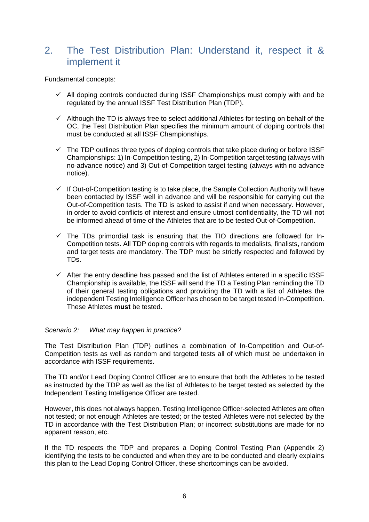## <span id="page-5-0"></span>2. The Test Distribution Plan: Understand it, respect it & implement it

Fundamental concepts:

- $\checkmark$  All doping controls conducted during ISSF Championships must comply with and be regulated by the annual ISSF Test Distribution Plan (TDP).
- $\checkmark$  Although the TD is always free to select additional Athletes for testing on behalf of the OC, the Test Distribution Plan specifies the minimum amount of doping controls that must be conducted at all ISSF Championships.
- $\checkmark$  The TDP outlines three types of doping controls that take place during or before ISSF Championships: 1) In-Competition testing, 2) In-Competition target testing (always with no-advance notice) and 3) Out-of-Competition target testing (always with no advance notice).
- $\checkmark$  If Out-of-Competition testing is to take place, the Sample Collection Authority will have been contacted by ISSF well in advance and will be responsible for carrying out the Out-of-Competition tests. The TD is asked to assist if and when necessary. However, in order to avoid conflicts of interest and ensure utmost confidentiality, the TD will not be informed ahead of time of the Athletes that are to be tested Out-of-Competition.
- $\checkmark$  The TDs primordial task is ensuring that the TIO directions are followed for In-Competition tests. All TDP doping controls with regards to medalists, finalists, random and target tests are mandatory. The TDP must be strictly respected and followed by TDs.
- $\checkmark$  After the entry deadline has passed and the list of Athletes entered in a specific ISSF Championship is available, the ISSF will send the TD a Testing Plan reminding the TD of their general testing obligations and providing the TD with a list of Athletes the independent Testing Intelligence Officer has chosen to be target tested In-Competition. These Athletes **must** be tested.

#### *Scenario 2: What may happen in practice?*

The Test Distribution Plan (TDP) outlines a combination of In-Competition and Out-of-Competition tests as well as random and targeted tests all of which must be undertaken in accordance with ISSF requirements.

The TD and/or Lead Doping Control Officer are to ensure that both the Athletes to be tested as instructed by the TDP as well as the list of Athletes to be target tested as selected by the Independent Testing Intelligence Officer are tested.

However, this does not always happen. Testing Intelligence Officer-selected Athletes are often not tested; or not enough Athletes are tested; or the tested Athletes were not selected by the TD in accordance with the Test Distribution Plan; or incorrect substitutions are made for no apparent reason, etc.

If the TD respects the TDP and prepares a Doping Control Testing Plan (Appendix 2) identifying the tests to be conducted and when they are to be conducted and clearly explains this plan to the Lead Doping Control Officer, these shortcomings can be avoided.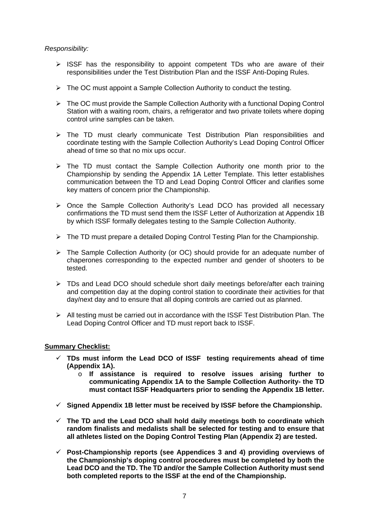#### *Responsibility:*

- $\triangleright$  ISSF has the responsibility to appoint competent TDs who are aware of their responsibilities under the Test Distribution Plan and the ISSF Anti-Doping Rules.
- $\triangleright$  The OC must appoint a Sample Collection Authority to conduct the testing.
- $\triangleright$  The OC must provide the Sample Collection Authority with a functional Doping Control Station with a waiting room, chairs, a refrigerator and two private toilets where doping control urine samples can be taken.
- $\triangleright$  The TD must clearly communicate Test Distribution Plan responsibilities and coordinate testing with the Sample Collection Authority's Lead Doping Control Officer ahead of time so that no mix ups occur.
- > The TD must contact the Sample Collection Authority one month prior to the Championship by sending the Appendix 1A Letter Template. This letter establishes communication between the TD and Lead Doping Control Officer and clarifies some key matters of concern prior the Championship.
- $\triangleright$  Once the Sample Collection Authority's Lead DCO has provided all necessary confirmations the TD must send them the ISSF Letter of Authorization at Appendix 1B by which ISSF formally delegates testing to the Sample Collection Authority.
- $\triangleright$  The TD must prepare a detailed Doping Control Testing Plan for the Championship.
- $\triangleright$  The Sample Collection Authority (or OC) should provide for an adequate number of chaperones corresponding to the expected number and gender of shooters to be tested.
- $\triangleright$  TDs and Lead DCO should schedule short daily meetings before/after each training and competition day at the doping control station to coordinate their activities for that day/next day and to ensure that all doping controls are carried out as planned.
- $\triangleright$  All testing must be carried out in accordance with the ISSF Test Distribution Plan. The Lead Doping Control Officer and TD must report back to ISSF.

#### **Summary Checklist:**

- **TDs must inform the Lead DCO of ISSF testing requirements ahead of time (Appendix 1A).** 
	- o **If assistance is required to resolve issues arising further to communicating Appendix 1A to the Sample Collection Authority- the TD must contact ISSF Headquarters prior to sending the Appendix 1B letter.**
- **Signed Appendix 1B letter must be received by ISSF before the Championship.**
- **The TD and the Lead DCO shall hold daily meetings both to coordinate which random finalists and medalists shall be selected for testing and to ensure that all athletes listed on the Doping Control Testing Plan (Appendix 2) are tested.**
- **Post-Championship reports (see Appendices 3 and 4) providing overviews of the Championship's doping control procedures must be completed by both the Lead DCO and the TD. The TD and/or the Sample Collection Authority must send both completed reports to the ISSF at the end of the Championship.**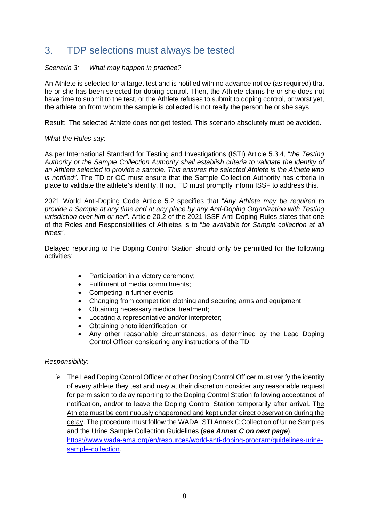## <span id="page-7-0"></span>3. TDP selections must always be tested

#### *Scenario 3: What may happen in practice?*

An Athlete is selected for a target test and is notified with no advance notice (as required) that he or she has been selected for doping control. Then, the Athlete claims he or she does not have time to submit to the test, or the Athlete refuses to submit to doping control, or worst yet, the athlete on from whom the sample is collected is not really the person he or she says.

Result: The selected Athlete does not get tested. This scenario absolutely must be avoided.

#### *What the Rules say:*

As per International Standard for Testing and Investigations (ISTI) Article 5.3.4, "*the Testing Authority or the Sample Collection Authority shall establish criteria to validate the identity of an Athlete selected to provide a sample. This ensures the selected Athlete is the Athlete who is notified"*. The TD or OC must ensure that the Sample Collection Authority has criteria in place to validate the athlete's identity. If not, TD must promptly inform ISSF to address this.

2021 World Anti-Doping Code Article 5.2 specifies that "*Any Athlete may be required to provide a Sample at any time and at any place by any Anti-Doping Organization with Testing jurisdiction over him or her"*. Article 20.2 of the 2021 ISSF Anti-Doping Rules states that one of the Roles and Responsibilities of Athletes is to "*be available for Sample collection at all times"*.

Delayed reporting to the Doping Control Station should only be permitted for the following activities:

- Participation in a victory ceremony;
- Fulfilment of media commitments;
- Competing in further events;
- Changing from competition clothing and securing arms and equipment;
- Obtaining necessary medical treatment;
- Locating a representative and/or interpreter;
- Obtaining photo identification; or
- Any other reasonable circumstances, as determined by the Lead Doping Control Officer considering any instructions of the TD.

#### *Responsibility:*

 $\triangleright$  The Lead Doping Control Officer or other Doping Control Officer must verify the identity of every athlete they test and may at their discretion consider any reasonable request for permission to delay reporting to the Doping Control Station following acceptance of notification, and/or to leave the Doping Control Station temporarily after arrival. The Athlete must be continuously chaperoned and kept under direct observation during the delay. The procedure must follow the WADA ISTI Annex C Collection of Urine Samples and the Urine Sample Collection Guidelines (*see Annex C on next page*). [https://www.wada-ama.org/en/resources/world-anti-doping-program/guidelines-urine](https://www.wada-ama.org/en/resources/world-anti-doping-program/guidelines-urine-sample-collection)[sample-collection.](https://www.wada-ama.org/en/resources/world-anti-doping-program/guidelines-urine-sample-collection)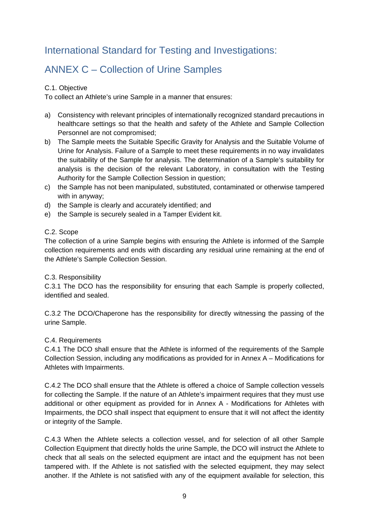# <span id="page-8-0"></span>International Standard for Testing and Investigations:

# <span id="page-8-1"></span>ANNEX C – Collection of Urine Samples

#### C.1. Objective

To collect an Athlete's urine Sample in a manner that ensures:

- a) Consistency with relevant principles of internationally recognized standard precautions in healthcare settings so that the health and safety of the Athlete and Sample Collection Personnel are not compromised;
- b) The Sample meets the Suitable Specific Gravity for Analysis and the Suitable Volume of Urine for Analysis. Failure of a Sample to meet these requirements in no way invalidates the suitability of the Sample for analysis. The determination of a Sample's suitability for analysis is the decision of the relevant Laboratory, in consultation with the Testing Authority for the Sample Collection Session in question;
- c) the Sample has not been manipulated, substituted, contaminated or otherwise tampered with in anyway;
- d) the Sample is clearly and accurately identified; and
- e) the Sample is securely sealed in a Tamper Evident kit.

#### C.2. Scope

The collection of a urine Sample begins with ensuring the Athlete is informed of the Sample collection requirements and ends with discarding any residual urine remaining at the end of the Athlete's Sample Collection Session.

#### C.3. Responsibility

C.3.1 The DCO has the responsibility for ensuring that each Sample is properly collected, identified and sealed.

C.3.2 The DCO/Chaperone has the responsibility for directly witnessing the passing of the urine Sample.

#### C.4. Requirements

C.4.1 The DCO shall ensure that the Athlete is informed of the requirements of the Sample Collection Session, including any modifications as provided for in Annex A – Modifications for Athletes with Impairments.

C.4.2 The DCO shall ensure that the Athlete is offered a choice of Sample collection vessels for collecting the Sample. If the nature of an Athlete's impairment requires that they must use additional or other equipment as provided for in Annex A - Modifications for Athletes with Impairments, the DCO shall inspect that equipment to ensure that it will not affect the identity or integrity of the Sample.

C.4.3 When the Athlete selects a collection vessel, and for selection of all other Sample Collection Equipment that directly holds the urine Sample, the DCO will instruct the Athlete to check that all seals on the selected equipment are intact and the equipment has not been tampered with. If the Athlete is not satisfied with the selected equipment, they may select another. If the Athlete is not satisfied with any of the equipment available for selection, this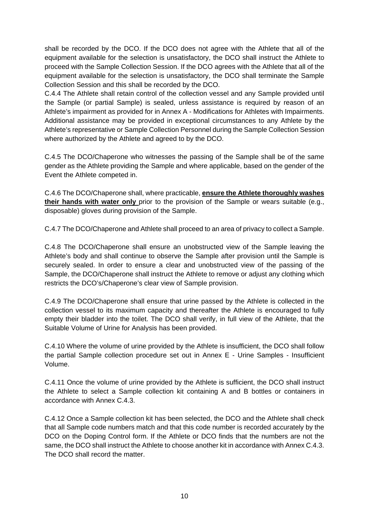shall be recorded by the DCO. If the DCO does not agree with the Athlete that all of the equipment available for the selection is unsatisfactory, the DCO shall instruct the Athlete to proceed with the Sample Collection Session. If the DCO agrees with the Athlete that all of the equipment available for the selection is unsatisfactory, the DCO shall terminate the Sample Collection Session and this shall be recorded by the DCO.

C.4.4 The Athlete shall retain control of the collection vessel and any Sample provided until the Sample (or partial Sample) is sealed, unless assistance is required by reason of an Athlete's impairment as provided for in Annex A - Modifications for Athletes with Impairments. Additional assistance may be provided in exceptional circumstances to any Athlete by the Athlete's representative or Sample Collection Personnel during the Sample Collection Session where authorized by the Athlete and agreed to by the DCO.

C.4.5 The DCO/Chaperone who witnesses the passing of the Sample shall be of the same gender as the Athlete providing the Sample and where applicable, based on the gender of the Event the Athlete competed in.

C.4.6 The DCO/Chaperone shall, where practicable, **ensure the Athlete thoroughly washes their hands with water only** prior to the provision of the Sample or wears suitable (e.g., disposable) gloves during provision of the Sample.

C.4.7 The DCO/Chaperone and Athlete shall proceed to an area of privacy to collect a Sample.

C.4.8 The DCO/Chaperone shall ensure an unobstructed view of the Sample leaving the Athlete's body and shall continue to observe the Sample after provision until the Sample is securely sealed. In order to ensure a clear and unobstructed view of the passing of the Sample, the DCO/Chaperone shall instruct the Athlete to remove or adjust any clothing which restricts the DCO's/Chaperone's clear view of Sample provision.

C.4.9 The DCO/Chaperone shall ensure that urine passed by the Athlete is collected in the collection vessel to its maximum capacity and thereafter the Athlete is encouraged to fully empty their bladder into the toilet. The DCO shall verify, in full view of the Athlete, that the Suitable Volume of Urine for Analysis has been provided.

C.4.10 Where the volume of urine provided by the Athlete is insufficient, the DCO shall follow the partial Sample collection procedure set out in Annex E - Urine Samples - Insufficient Volume.

C.4.11 Once the volume of urine provided by the Athlete is sufficient, the DCO shall instruct the Athlete to select a Sample collection kit containing A and B bottles or containers in accordance with Annex C.4.3.

C.4.12 Once a Sample collection kit has been selected, the DCO and the Athlete shall check that all Sample code numbers match and that this code number is recorded accurately by the DCO on the Doping Control form. If the Athlete or DCO finds that the numbers are not the same, the DCO shall instruct the Athlete to choose another kit in accordance with Annex C.4.3. The DCO shall record the matter.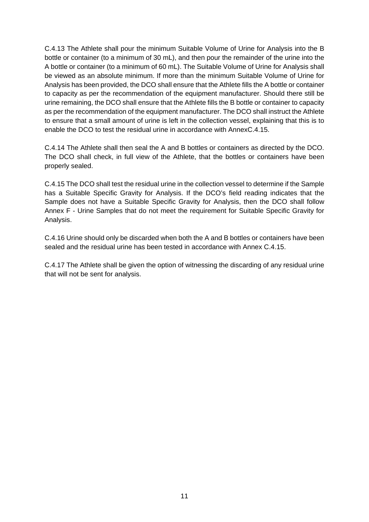C.4.13 The Athlete shall pour the minimum Suitable Volume of Urine for Analysis into the B bottle or container (to a minimum of 30 mL), and then pour the remainder of the urine into the A bottle or container (to a minimum of 60 mL). The Suitable Volume of Urine for Analysis shall be viewed as an absolute minimum. If more than the minimum Suitable Volume of Urine for Analysis has been provided, the DCO shall ensure that the Athlete fills the A bottle or container to capacity as per the recommendation of the equipment manufacturer. Should there still be urine remaining, the DCO shall ensure that the Athlete fills the B bottle or container to capacity as per the recommendation of the equipment manufacturer. The DCO shall instruct the Athlete to ensure that a small amount of urine is left in the collection vessel, explaining that this is to enable the DCO to test the residual urine in accordance with AnnexC.4.15.

C.4.14 The Athlete shall then seal the A and B bottles or containers as directed by the DCO. The DCO shall check, in full view of the Athlete, that the bottles or containers have been properly sealed.

C.4.15 The DCO shall test the residual urine in the collection vessel to determine if the Sample has a Suitable Specific Gravity for Analysis. If the DCO's field reading indicates that the Sample does not have a Suitable Specific Gravity for Analysis, then the DCO shall follow Annex F - Urine Samples that do not meet the requirement for Suitable Specific Gravity for Analysis.

C.4.16 Urine should only be discarded when both the A and B bottles or containers have been sealed and the residual urine has been tested in accordance with Annex C.4.15.

C.4.17 The Athlete shall be given the option of witnessing the discarding of any residual urine that will not be sent for analysis.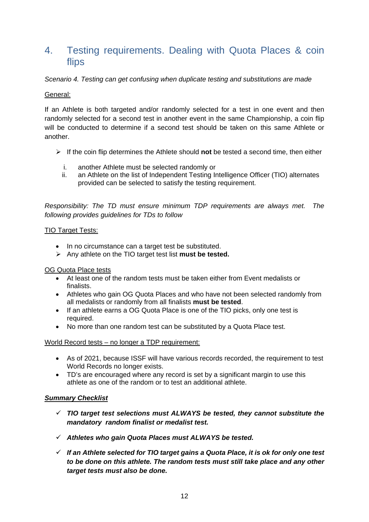## <span id="page-11-0"></span>4. Testing requirements. Dealing with Quota Places & coin flips

#### *Scenario 4. Testing can get confusing when duplicate testing and substitutions are made*

#### General:

If an Athlete is both targeted and/or randomly selected for a test in one event and then randomly selected for a second test in another event in the same Championship, a coin flip will be conducted to determine if a second test should be taken on this same Athlete or another.

- If the coin flip determines the Athlete should **not** be tested a second time, then either
	- i. another Athlete must be selected randomly or
	- ii. an Athlete on the list of Independent Testing Intelligence Officer (TIO) alternates provided can be selected to satisfy the testing requirement.

*Responsibility: The TD must ensure minimum TDP requirements are always met. The following provides guidelines for TDs to follow*

#### TIO Target Tests:

- In no circumstance can a target test be substituted.
- Any athlete on the TIO target test list **must be tested.**

#### OG Quota Place tests

- At least one of the random tests must be taken either from Event medalists or finalists.
- Athletes who gain OG Quota Places and who have not been selected randomly from all medalists or randomly from all finalists **must be tested**.
- If an athlete earns a OG Quota Place is one of the TIO picks, only one test is required.
- No more than one random test can be substituted by a Quota Place test.

#### World Record tests – no longer a TDP requirement:

- As of 2021, because ISSF will have various records recorded, the requirement to test World Records no longer exists.
- TD's are encouraged where any record is set by a significant margin to use this athlete as one of the random or to test an additional athlete.

#### *Summary Checklist*

- *TIO target test selections must ALWAYS be tested, they cannot substitute the mandatory random finalist or medalist test.*
- *Athletes who gain Quota Places must ALWAYS be tested.*
- *If an Athlete selected for TIO target gains a Quota Place, it is ok for only one test to be done on this athlete. The random tests must still take place and any other target tests must also be done.*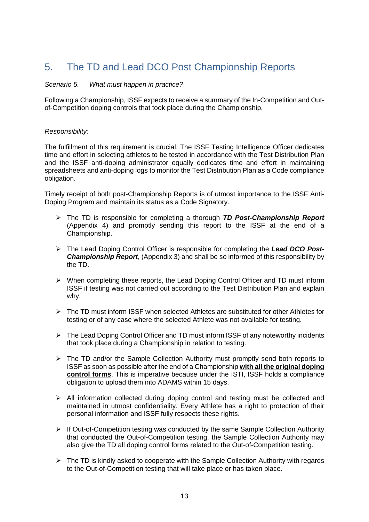## <span id="page-12-0"></span>5. The TD and Lead DCO Post Championship Reports

#### *Scenario 5. What must happen in practice?*

Following a Championship, ISSF expects to receive a summary of the In-Competition and Outof-Competition doping controls that took place during the Championship.

#### *Responsibility:*

The fulfillment of this requirement is crucial. The ISSF Testing Intelligence Officer dedicates time and effort in selecting athletes to be tested in accordance with the Test Distribution Plan and the ISSF anti-doping administrator equally dedicates time and effort in maintaining spreadsheets and anti-doping logs to monitor the Test Distribution Plan as a Code compliance obligation.

Timely receipt of both post-Championship Reports is of utmost importance to the ISSF Anti-Doping Program and maintain its status as a Code Signatory.

- The TD is responsible for completing a thorough *TD Post-Championship Report* (Appendix 4) and promptly sending this report to the ISSF at the end of a Championship.
- The Lead Doping Control Officer is responsible for completing the *Lead DCO Post-Championship Report*, (Appendix 3) and shall be so informed of this responsibility by the TD.
- $\triangleright$  When completing these reports, the Lead Doping Control Officer and TD must inform ISSF if testing was not carried out according to the Test Distribution Plan and explain why.
- $\triangleright$  The TD must inform ISSF when selected Athletes are substituted for other Athletes for testing or of any case where the selected Athlete was not available for testing.
- $\triangleright$  The Lead Doping Control Officer and TD must inform ISSF of any noteworthy incidents that took place during a Championship in relation to testing.
- $\triangleright$  The TD and/or the Sample Collection Authority must promptly send both reports to ISSF as soon as possible after the end of a Championship **with all the original doping control forms**. This is imperative because under the ISTI, ISSF holds a compliance obligation to upload them into ADAMS within 15 days.
- $\triangleright$  All information collected during doping control and testing must be collected and maintained in utmost confidentiality. Every Athlete has a right to protection of their personal information and ISSF fully respects these rights.
- $\triangleright$  If Out-of-Competition testing was conducted by the same Sample Collection Authority that conducted the Out-of-Competition testing, the Sample Collection Authority may also give the TD all doping control forms related to the Out-of-Competition testing.
- $\triangleright$  The TD is kindly asked to cooperate with the Sample Collection Authority with regards to the Out-of-Competition testing that will take place or has taken place.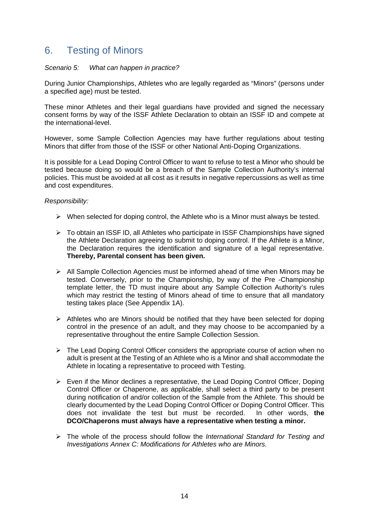## <span id="page-13-0"></span>6. Testing of Minors

#### *Scenario 5: What can happen in practice?*

During Junior Championships, Athletes who are legally regarded as "Minors" (persons under a specified age) must be tested.

These minor Athletes and their legal guardians have provided and signed the necessary consent forms by way of the ISSF Athlete Declaration to obtain an ISSF ID and compete at the international-level.

However, some Sample Collection Agencies may have further regulations about testing Minors that differ from those of the ISSF or other National Anti-Doping Organizations.

It is possible for a Lead Doping Control Officer to want to refuse to test a Minor who should be tested because doing so would be a breach of the Sample Collection Authority's internal policies. This must be avoided at all cost as it results in negative repercussions as well as time and cost expenditures.

#### *Responsibility:*

- $\triangleright$  When selected for doping control, the Athlete who is a Minor must always be tested.
- To obtain an ISSF ID, all Athletes who participate in ISSF Championships have signed the Athlete Declaration agreeing to submit to doping control. If the Athlete is a Minor, the Declaration requires the identification and signature of a legal representative. **Thereby, Parental consent has been given.**
- $\triangleright$  All Sample Collection Agencies must be informed ahead of time when Minors may be tested. Conversely, prior to the Championship, by way of the Pre -Championship template letter, the TD must inquire about any Sample Collection Authority's rules which may restrict the testing of Minors ahead of time to ensure that all mandatory testing takes place (See Appendix 1A).
- $\triangleright$  Athletes who are Minors should be notified that they have been selected for doping control in the presence of an adult, and they may choose to be accompanied by a representative throughout the entire Sample Collection Session.
- $\triangleright$  The Lead Doping Control Officer considers the appropriate course of action when no adult is present at the Testing of an Athlete who is a Minor and shall accommodate the Athlete in locating a representative to proceed with Testing.
- $\triangleright$  Even if the Minor declines a representative, the Lead Doping Control Officer, Doping Control Officer or Chaperone, as applicable, shall select a third party to be present during notification of and/or collection of the Sample from the Athlete. This should be clearly documented by the Lead Doping Control Officer or Doping Control Officer. This does not invalidate the test but must be recorded. In other words, **the DCO/Chaperons must always have a representative when testing a minor.**
- The whole of the process should follow the *International Standard for Testing and Investigations Annex C: Modifications for Athletes who are Minors.*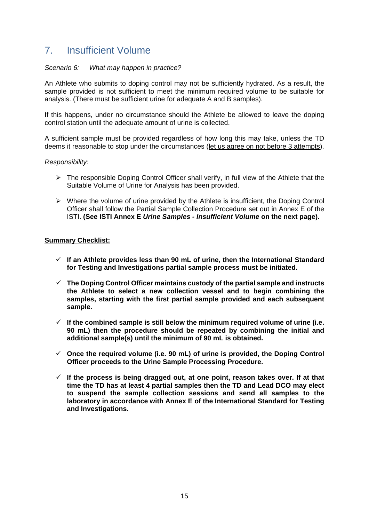## <span id="page-14-0"></span>7. Insufficient Volume

#### *Scenario 6: What may happen in practice?*

An Athlete who submits to doping control may not be sufficiently hydrated. As a result, the sample provided is not sufficient to meet the minimum required volume to be suitable for analysis. (There must be sufficient urine for adequate A and B samples).

If this happens, under no circumstance should the Athlete be allowed to leave the doping control station until the adequate amount of urine is collected.

A sufficient sample must be provided regardless of how long this may take, unless the TD deems it reasonable to stop under the circumstances (let us agree on not before 3 attempts).

#### *Responsibility:*

- $\triangleright$  The responsible Doping Control Officer shall verify, in full view of the Athlete that the Suitable Volume of Urine for Analysis has been provided.
- $\triangleright$  Where the volume of urine provided by the Athlete is insufficient, the Doping Control Officer shall follow the Partial Sample Collection Procedure set out in Annex E of the ISTI. **(See ISTI Annex E** *Urine Samples - Insufficient Volume* **on the next page).**

#### **Summary Checklist:**

- **If an Athlete provides less than 90 mL of urine, then the International Standard for Testing and Investigations partial sample process must be initiated.**
- **The Doping Control Officer maintains custody of the partial sample and instructs the Athlete to select a new collection vessel and to begin combining the samples, starting with the first partial sample provided and each subsequent sample.**
- $\checkmark$  If the combined sample is still below the minimum required volume of urine (i.e. **90 mL) then the procedure should be repeated by combining the initial and additional sample(s) until the minimum of 90 mL is obtained.**
- **Once the required volume (i.e. 90 mL) of urine is provided, the Doping Control Officer proceeds to the Urine Sample Processing Procedure.**
- **If the process is being dragged out, at one point, reason takes over. If at that time the TD has at least 4 partial samples then the TD and Lead DCO may elect to suspend the sample collection sessions and send all samples to the laboratory in accordance with Annex E of the International Standard for Testing and Investigations.**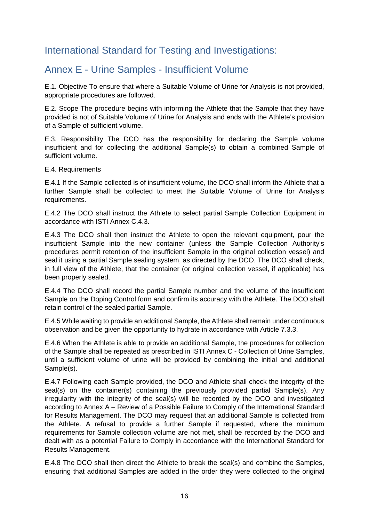# <span id="page-15-0"></span>International Standard for Testing and Investigations:

## <span id="page-15-1"></span>Annex E - Urine Samples - Insufficient Volume

E.1. Objective To ensure that where a Suitable Volume of Urine for Analysis is not provided, appropriate procedures are followed.

E.2. Scope The procedure begins with informing the Athlete that the Sample that they have provided is not of Suitable Volume of Urine for Analysis and ends with the Athlete's provision of a Sample of sufficient volume.

E.3. Responsibility The DCO has the responsibility for declaring the Sample volume insufficient and for collecting the additional Sample(s) to obtain a combined Sample of sufficient volume.

#### E.4. Requirements

E.4.1 If the Sample collected is of insufficient volume, the DCO shall inform the Athlete that a further Sample shall be collected to meet the Suitable Volume of Urine for Analysis requirements.

E.4.2 The DCO shall instruct the Athlete to select partial Sample Collection Equipment in accordance with ISTI Annex C.4.3.

E.4.3 The DCO shall then instruct the Athlete to open the relevant equipment, pour the insufficient Sample into the new container (unless the Sample Collection Authority's procedures permit retention of the insufficient Sample in the original collection vessel) and seal it using a partial Sample sealing system, as directed by the DCO. The DCO shall check, in full view of the Athlete, that the container (or original collection vessel, if applicable) has been properly sealed.

E.4.4 The DCO shall record the partial Sample number and the volume of the insufficient Sample on the Doping Control form and confirm its accuracy with the Athlete. The DCO shall retain control of the sealed partial Sample.

E.4.5 While waiting to provide an additional Sample, the Athlete shall remain under continuous observation and be given the opportunity to hydrate in accordance with Article 7.3.3.

E.4.6 When the Athlete is able to provide an additional Sample, the procedures for collection of the Sample shall be repeated as prescribed in ISTI Annex C - Collection of Urine Samples, until a sufficient volume of urine will be provided by combining the initial and additional Sample(s).

E.4.7 Following each Sample provided, the DCO and Athlete shall check the integrity of the seal(s) on the container(s) containing the previously provided partial Sample(s). Any irregularity with the integrity of the seal(s) will be recorded by the DCO and investigated according to Annex A – Review of a Possible Failure to Comply of the International Standard for Results Management. The DCO may request that an additional Sample is collected from the Athlete. A refusal to provide a further Sample if requested, where the minimum requirements for Sample collection volume are not met, shall be recorded by the DCO and dealt with as a potential Failure to Comply in accordance with the International Standard for Results Management.

E.4.8 The DCO shall then direct the Athlete to break the seal(s) and combine the Samples, ensuring that additional Samples are added in the order they were collected to the original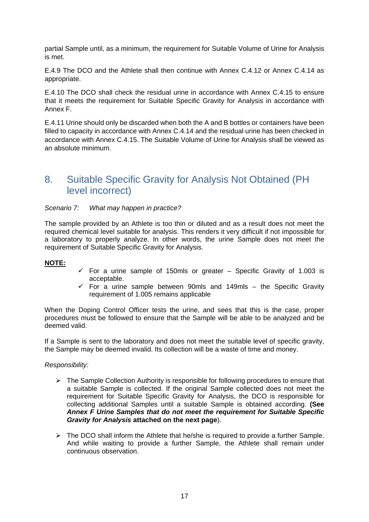partial Sample until, as a minimum, the requirement for Suitable Volume of Urine for Analysis is met.

E.4.9 The DCO and the Athlete shall then continue with Annex C.4.12 or Annex C.4.14 as appropriate.

E.4.10 The DCO shall check the residual urine in accordance with Annex C.4.15 to ensure that it meets the requirement for Suitable Specific Gravity for Analysis in accordance with Annex F.

E.4.11 Urine should only be discarded when both the A and B bottles or containers have been filled to capacity in accordance with Annex C.4.14 and the residual urine has been checked in accordance with Annex C.4.15. The Suitable Volume of Urine for Analysis shall be viewed as an absolute minimum.

## <span id="page-16-0"></span>8. Suitable Specific Gravity for Analysis Not Obtained (PH level incorrect)

*Scenario 7: What may happen in practice?*

The sample provided by an Athlete is too thin or diluted and as a result does not meet the required chemical level suitable for analysis. This renders it very difficult if not impossible for a laboratory to properly analyze. In other words, the urine Sample does not meet the requirement of Suitable Specific Gravity for Analysis.

#### **NOTE:**

- $\checkmark$  For a urine sample of 150mls or greater Specific Gravity of 1.003 is acceptable.
- $\checkmark$  For a urine sample between 90mls and 149mls the Specific Gravity requirement of 1.005 remains applicable

When the Doping Control Officer tests the urine, and sees that this is the case, proper procedures must be followed to ensure that the Sample will be able to be analyzed and be deemed valid.

If a Sample is sent to the laboratory and does not meet the suitable level of specific gravity, the Sample may be deemed invalid. Its collection will be a waste of time and money.

#### *Responsibility:*

- $\triangleright$  The Sample Collection Authority is responsible for following procedures to ensure that a suitable Sample is collected. If the original Sample collected does not meet the requirement for Suitable Specific Gravity for Analysis, the DCO is responsible for collecting additional Samples until a suitable Sample is obtained according. **(See**  *Annex F Urine Samples that do not meet the requirement for Suitable Specific Gravity for Analysis* **attached on the next page**).
- $\triangleright$  The DCO shall inform the Athlete that he/she is required to provide a further Sample. And while waiting to provide a further Sample, the Athlete shall remain under continuous observation.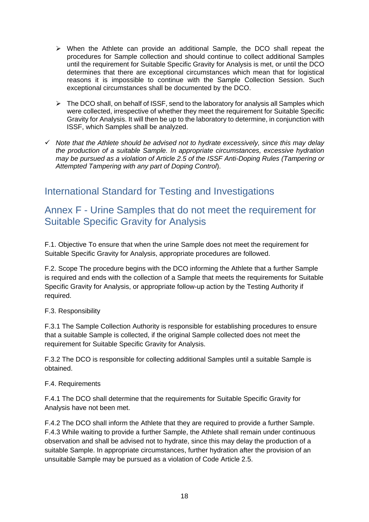- $\triangleright$  When the Athlete can provide an additional Sample, the DCO shall repeat the procedures for Sample collection and should continue to collect additional Samples until the requirement for Suitable Specific Gravity for Analysis is met, or until the DCO determines that there are exceptional circumstances which mean that for logistical reasons it is impossible to continue with the Sample Collection Session. Such exceptional circumstances shall be documented by the DCO.
- $\triangleright$  The DCO shall, on behalf of ISSF, send to the laboratory for analysis all Samples which were collected, irrespective of whether they meet the requirement for Suitable Specific Gravity for Analysis. It will then be up to the laboratory to determine, in conjunction with ISSF, which Samples shall be analyzed.
- *Note that the Athlete should be advised not to hydrate excessively, since this may delay the production of a suitable Sample. In appropriate circumstances, excessive hydration may be pursued as a violation of Article 2.5 of the ISSF Anti-Doping Rules (Tampering or Attempted Tampering with any part of Doping Control*).

# <span id="page-17-0"></span>International Standard for Testing and Investigations

## <span id="page-17-1"></span>Annex F - Urine Samples that do not meet the requirement for Suitable Specific Gravity for Analysis

F.1. Objective To ensure that when the urine Sample does not meet the requirement for Suitable Specific Gravity for Analysis, appropriate procedures are followed.

F.2. Scope The procedure begins with the DCO informing the Athlete that a further Sample is required and ends with the collection of a Sample that meets the requirements for Suitable Specific Gravity for Analysis, or appropriate follow-up action by the Testing Authority if required.

#### F.3. Responsibility

F.3.1 The Sample Collection Authority is responsible for establishing procedures to ensure that a suitable Sample is collected, if the original Sample collected does not meet the requirement for Suitable Specific Gravity for Analysis.

F.3.2 The DCO is responsible for collecting additional Samples until a suitable Sample is obtained.

#### F.4. Requirements

F.4.1 The DCO shall determine that the requirements for Suitable Specific Gravity for Analysis have not been met.

F.4.2 The DCO shall inform the Athlete that they are required to provide a further Sample. F.4.3 While waiting to provide a further Sample, the Athlete shall remain under continuous observation and shall be advised not to hydrate, since this may delay the production of a suitable Sample. In appropriate circumstances, further hydration after the provision of an unsuitable Sample may be pursued as a violation of Code Article 2.5.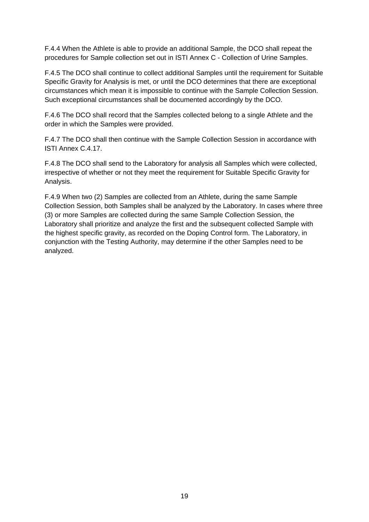F.4.4 When the Athlete is able to provide an additional Sample, the DCO shall repeat the procedures for Sample collection set out in ISTI Annex C - Collection of Urine Samples.

F.4.5 The DCO shall continue to collect additional Samples until the requirement for Suitable Specific Gravity for Analysis is met, or until the DCO determines that there are exceptional circumstances which mean it is impossible to continue with the Sample Collection Session. Such exceptional circumstances shall be documented accordingly by the DCO.

F.4.6 The DCO shall record that the Samples collected belong to a single Athlete and the order in which the Samples were provided.

F.4.7 The DCO shall then continue with the Sample Collection Session in accordance with ISTI Annex C.4.17.

F.4.8 The DCO shall send to the Laboratory for analysis all Samples which were collected, irrespective of whether or not they meet the requirement for Suitable Specific Gravity for Analysis.

F.4.9 When two (2) Samples are collected from an Athlete, during the same Sample Collection Session, both Samples shall be analyzed by the Laboratory. In cases where three (3) or more Samples are collected during the same Sample Collection Session, the Laboratory shall prioritize and analyze the first and the subsequent collected Sample with the highest specific gravity, as recorded on the Doping Control form. The Laboratory, in conjunction with the Testing Authority, may determine if the other Samples need to be analyzed.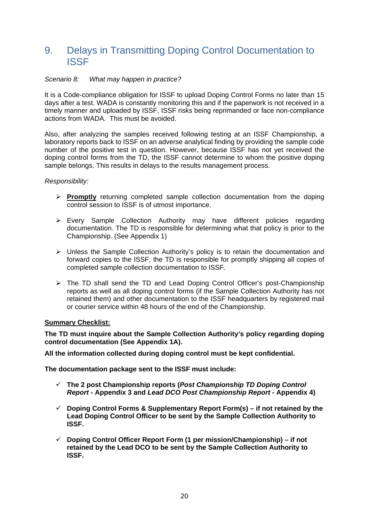## <span id="page-19-0"></span>9. Delays in Transmitting Doping Control Documentation to ISSF

#### *Scenario 8: What may happen in practice?*

It is a Code-compliance obligation for ISSF to upload Doping Control Forms no later than 15 days after a test. WADA is constantly monitoring this and if the paperwork is not received in a timely manner and uploaded by ISSF, ISSF risks being reprimanded or face non-compliance actions from WADA. This must be avoided.

Also, after analyzing the samples received following testing at an ISSF Championship, a laboratory reports back to ISSF on an adverse analytical finding by providing the sample code number of the positive test in question. However, because ISSF has not yet received the doping control forms from the TD, the ISSF cannot determine to whom the positive doping sample belongs. This results in delays to the results management process.

#### *Responsibility:*

- **Promptly** returning completed sample collection documentation from the doping control session to ISSF is of utmost importance.
- Every Sample Collection Authority may have different policies regarding documentation. The TD is responsible for determining what that policy is prior to the Championship. (See Appendix 1)
- $\triangleright$  Unless the Sample Collection Authority's policy is to retain the documentation and forward copies to the ISSF, the TD is responsible for promptly shipping all copies of completed sample collection documentation to ISSF.
- The TD shall send the TD and Lead Doping Control Officer's post-Championship reports as well as all doping control forms (if the Sample Collection Authority has not retained them) and other documentation to the ISSF headquarters by registered mail or courier service within 48 hours of the end of the Championship.

#### **Summary Checklist:**

**The TD must inquire about the Sample Collection Authority's policy regarding doping control documentation (See Appendix 1A).**

**All the information collected during doping control must be kept confidential.**

**The documentation package sent to the ISSF must include:**

- **The 2 post Championship reports (***Post Championship TD Doping Control Report* **- Appendix 3 and** *Lead DCO Post Championship Report -* **Appendix 4)**
- **Doping Control Forms & Supplementary Report Form(s) – if not retained by the Lead Doping Control Officer to be sent by the Sample Collection Authority to ISSF.**
- **Doping Control Officer Report Form (1 per mission/Championship) – if not retained by the Lead DCO to be sent by the Sample Collection Authority to ISSF.**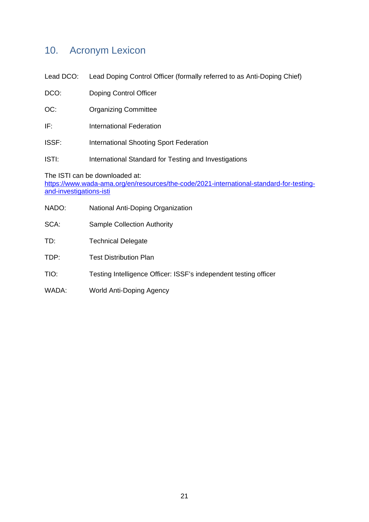## <span id="page-20-0"></span>10. Acronym Lexicon

Lead DCO: Lead Doping Control Officer (formally referred to as Anti-Doping Chief)

| DCO: | Doping Control Officer |  |
|------|------------------------|--|
|      |                        |  |

- OC: Organizing Committee
- IF: International Federation
- ISSF: International Shooting Sport Federation
- ISTI: International Standard for Testing and Investigations

The ISTI can be downloaded at:

[https://www.wada-ama.org/en/resources/the-code/2021-international-standard-for-testing](https://www.wada-ama.org/en/resources/the-code/2021-international-standard-for-testing-and-investigations-isti)[and-investigations-isti](https://www.wada-ama.org/en/resources/the-code/2021-international-standard-for-testing-and-investigations-isti)

- NADO: National Anti-Doping Organization
- SCA: Sample Collection Authority
- TD: Technical Delegate
- TDP: Test Distribution Plan
- TIO: Testing Intelligence Officer: ISSF's independent testing officer
- WADA: World Anti-Doping Agency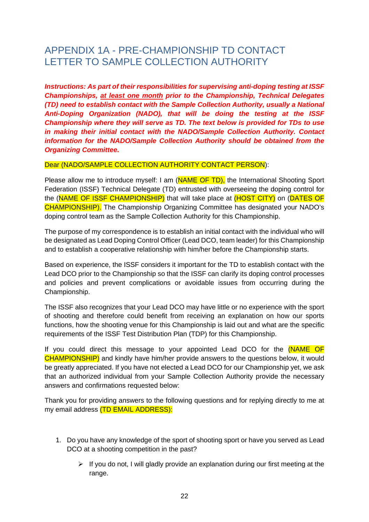# <span id="page-21-0"></span>APPENDIX 1A - PRE-CHAMPIONSHIP TD CONTACT LETTER TO SAMPLE COLLECTION AUTHORITY

*Instructions: As part of their responsibilities for supervising anti-doping testing at ISSF Championships, at least one month prior to the Championship, Technical Delegates (TD) need to establish contact with the Sample Collection Authority, usually a National Anti-Doping Organization (NADO), that will be doing the testing at the ISSF Championship where they will serve as TD. The text below is provided for TDs to use in making their initial contact with the NADO/Sample Collection Authority. Contact information for the NADO/Sample Collection Authority should be obtained from the Organizing Committee.*

#### Dear (NADO/SAMPLE COLLECTION AUTHORITY CONTACT PERSON):

Please allow me to introduce myself: I am (NAME OF TD), the International Shooting Sport Federation (ISSF) Technical Delegate (TD) entrusted with overseeing the doping control for the (NAME OF ISSF CHAMPIONSHIP) that will take place at (HOST CITY) on (DATES OF CHAMPIONSHIP). The Championship Organizing Committee has designated your NADO's doping control team as the Sample Collection Authority for this Championship.

The purpose of my correspondence is to establish an initial contact with the individual who will be designated as Lead Doping Control Officer (Lead DCO, team leader) for this Championship and to establish a cooperative relationship with him/her before the Championship starts.

Based on experience, the ISSF considers it important for the TD to establish contact with the Lead DCO prior to the Championship so that the ISSF can clarify its doping control processes and policies and prevent complications or avoidable issues from occurring during the Championship.

The ISSF also recognizes that your Lead DCO may have little or no experience with the sport of shooting and therefore could benefit from receiving an explanation on how our sports functions, how the shooting venue for this Championship is laid out and what are the specific requirements of the ISSF Test Distribution Plan (TDP) for this Championship.

If you could direct this message to your appointed Lead DCO for the **(NAME OF** CHAMPIONSHIP) and kindly have him/her provide answers to the questions below, it would be greatly appreciated. If you have not elected a Lead DCO for our Championship yet, we ask that an authorized individual from your Sample Collection Authority provide the necessary answers and confirmations requested below:

Thank you for providing answers to the following questions and for replying directly to me at my email address (TD EMAIL ADDRESS):

- 1. Do you have any knowledge of the sport of shooting sport or have you served as Lead DCO at a shooting competition in the past?
	- $\triangleright$  If you do not, I will gladly provide an explanation during our first meeting at the range.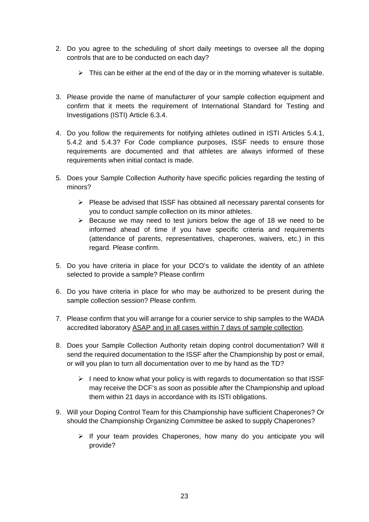- 2. Do you agree to the scheduling of short daily meetings to oversee all the doping controls that are to be conducted on each day?
	- $\triangleright$  This can be either at the end of the day or in the morning whatever is suitable.
- 3. Please provide the name of manufacturer of your sample collection equipment and confirm that it meets the requirement of International Standard for Testing and Investigations (ISTI) Article 6.3.4.
- 4. Do you follow the requirements for notifying athletes outlined in ISTI Articles 5.4.1, 5.4.2 and 5.4.3? For Code compliance purposes, ISSF needs to ensure those requirements are documented and that athletes are always informed of these requirements when initial contact is made.
- 5. Does your Sample Collection Authority have specific policies regarding the testing of minors?
	- $\triangleright$  Please be advised that ISSF has obtained all necessary parental consents for you to conduct sample collection on its minor athletes.
	- $\triangleright$  Because we may need to test juniors below the age of 18 we need to be informed ahead of time if you have specific criteria and requirements (attendance of parents, representatives, chaperones, waivers, etc.) in this regard. Please confirm.
- 5. Do you have criteria in place for your DCO's to validate the identity of an athlete selected to provide a sample? Please confirm
- 6. Do you have criteria in place for who may be authorized to be present during the sample collection session? Please confirm.
- 7. Please confirm that you will arrange for a courier service to ship samples to the WADA accredited laboratory ASAP and in all cases within 7 days of sample collection.
- 8. Does your Sample Collection Authority retain doping control documentation? Will it send the required documentation to the ISSF after the Championship by post or email, or will you plan to turn all documentation over to me by hand as the TD?
	- $\triangleright$  I need to know what your policy is with regards to documentation so that ISSF may receive the DCF's as soon as possible after the Championship and upload them within 21 days in accordance with its ISTI obligations.
- 9. Will your Doping Control Team for this Championship have sufficient Chaperones? Or should the Championship Organizing Committee be asked to supply Chaperones?
	- $\triangleright$  If your team provides Chaperones, how many do you anticipate you will provide?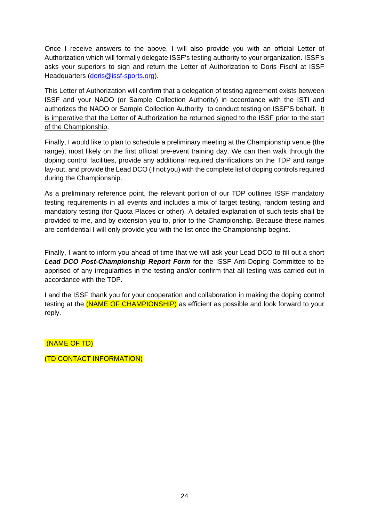Once I receive answers to the above, I will also provide you with an official Letter of Authorization which will formally delegate ISSF's testing authority to your organization. ISSF's asks your superiors to sign and return the Letter of Authorization to Doris Fischl at ISSF Headquarters [\(doris@issf-sports.org\)](mailto:doris@issf-sports.org).

This Letter of Authorization will confirm that a delegation of testing agreement exists between ISSF and your NADO (or Sample Collection Authority) in accordance with the ISTI and authorizes the NADO or Sample Collection Authority to conduct testing on ISSF'S behalf. It is imperative that the Letter of Authorization be returned signed to the ISSF prior to the start of the Championship.

Finally, I would like to plan to schedule a preliminary meeting at the Championship venue (the range), most likely on the first official pre-event training day. We can then walk through the doping control facilities, provide any additional required clarifications on the TDP and range lay-out, and provide the Lead DCO (if not you) with the complete list of doping controls required during the Championship.

As a preliminary reference point, the relevant portion of our TDP outlines ISSF mandatory testing requirements in all events and includes a mix of target testing, random testing and mandatory testing (for Quota Places or other). A detailed explanation of such tests shall be provided to me, and by extension you to, prior to the Championship. Because these names are confidential I will only provide you with the list once the Championship begins.

Finally, I want to inform you ahead of time that we will ask your Lead DCO to fill out a short *Lead DCO Post-Championship Report Form* for the ISSF Anti-Doping Committee to be apprised of any irregularities in the testing and/or confirm that all testing was carried out in accordance with the TDP.

I and the ISSF thank you for your cooperation and collaboration in making the doping control testing at the **(NAME OF CHAMPIONSHIP)** as efficient as possible and look forward to your reply.

(NAME OF TD)

(TD CONTACT INFORMATION)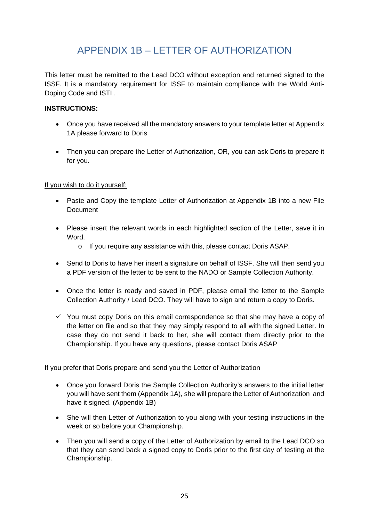# APPENDIX 1B – LETTER OF AUTHORIZATION

<span id="page-24-0"></span>This letter must be remitted to the Lead DCO without exception and returned signed to the ISSF. It is a mandatory requirement for ISSF to maintain compliance with the World Anti-Doping Code and ISTI .

#### **INSTRUCTIONS:**

- Once you have received all the mandatory answers to your template letter at Appendix 1A please forward to Doris
- Then you can prepare the Letter of Authorization, OR, you can ask Doris to prepare it for you.

#### If you wish to do it yourself:

- Paste and Copy the template Letter of Authorization at Appendix 1B into a new File Document
- Please insert the relevant words in each highlighted section of the Letter, save it in Word.
	- o If you require any assistance with this, please contact Doris ASAP.
- Send to Doris to have her insert a signature on behalf of ISSF. She will then send you a PDF version of the letter to be sent to the NADO or Sample Collection Authority.
- Once the letter is ready and saved in PDF, please email the letter to the Sample Collection Authority / Lead DCO. They will have to sign and return a copy to Doris.
- $\checkmark$  You must copy Doris on this email correspondence so that she may have a copy of the letter on file and so that they may simply respond to all with the signed Letter. In case they do not send it back to her, she will contact them directly prior to the Championship. If you have any questions, please contact Doris ASAP

#### If you prefer that Doris prepare and send you the Letter of Authorization

- Once you forward Doris the Sample Collection Authority's answers to the initial letter you will have sent them (Appendix 1A), she will prepare the Letter of Authorization and have it signed. (Appendix 1B)
- She will then Letter of Authorization to you along with your testing instructions in the week or so before your Championship.
- Then you will send a copy of the Letter of Authorization by email to the Lead DCO so that they can send back a signed copy to Doris prior to the first day of testing at the Championship.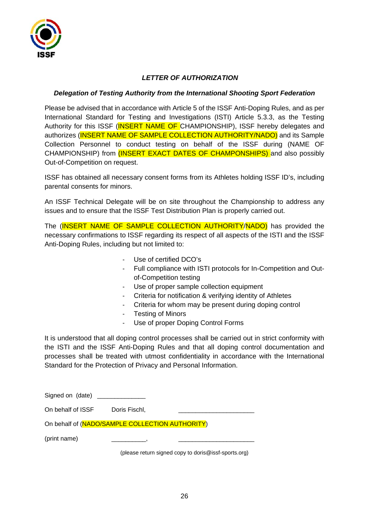

#### *LETTER OF AUTHORIZATION*

#### *Delegation of Testing Authority from the International Shooting Sport Federation*

Please be advised that in accordance with Article 5 of the ISSF Anti-Doping Rules, and as per International Standard for Testing and Investigations (ISTI) Article 5.3.3, as the Testing Authority for this ISSF (INSERT NAME OF CHAMPIONSHIP). ISSF hereby delegates and authorizes (**INSERT NAME OF SAMPLE COLLECTION AUTHORITY/NADO)** and its Sample Collection Personnel to conduct testing on behalf of the ISSF during (NAME OF CHAMPIONSHIP) from **(INSERT EXACT DATES OF CHAMPONSHIPS)** and also possibly Out-of-Competition on request.

ISSF has obtained all necessary consent forms from its Athletes holding ISSF ID's, including parental consents for minors.

An ISSF Technical Delegate will be on site throughout the Championship to address any issues and to ensure that the ISSF Test Distribution Plan is properly carried out.

The (INSERT NAME OF SAMPLE COLLECTION AUTHORITY/NADO) has provided the necessary confirmations to ISSF regarding its respect of all aspects of the ISTI and the ISSF Anti-Doping Rules, including but not limited to:

- Use of certified DCO's
- Full compliance with ISTI protocols for In-Competition and Outof-Competition testing
- Use of proper sample collection equipment
- Criteria for notification & verifying identity of Athletes
- Criteria for whom may be present during doping control
	- Testing of Minors
- Use of proper Doping Control Forms

It is understood that all doping control processes shall be carried out in strict conformity with the ISTI and the ISSF Anti-Doping Rules and that all doping control documentation and processes shall be treated with utmost confidentiality in accordance with the International Standard for the Protection of Privacy and Personal Information.

On behalf of ISSF Doris Fischl,

On behalf of (NADO/SAMPLE COLLECTION AUTHORITY)

(print name)

(please return signed copy to doris@issf-sports.org)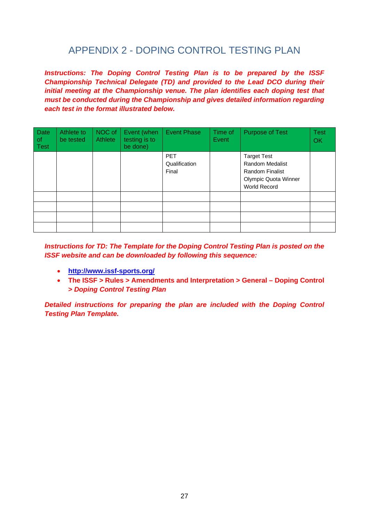# APPENDIX 2 - DOPING CONTROL TESTING PLAN

<span id="page-26-0"></span>*Instructions: The Doping Control Testing Plan is to be prepared by the ISSF Championship Technical Delegate (TD) and provided to the Lead DCO during their initial meeting at the Championship venue. The plan identifies each doping test that must be conducted during the Championship and gives detailed information regarding each test in the format illustrated below.* 

| Date<br>$\circ$<br>Test | Athlete to<br>be tested | NOC of<br><b>Athlete</b> | Event (when<br>testing is to<br>be done) | <b>Event Phase</b>                   | Time of<br>Event | <b>Purpose of Test</b>                                                                                                       | <b>Test</b><br>OK |
|-------------------------|-------------------------|--------------------------|------------------------------------------|--------------------------------------|------------------|------------------------------------------------------------------------------------------------------------------------------|-------------------|
|                         |                         |                          |                                          | <b>PET</b><br>Qualification<br>Final |                  | <b>Target Test</b><br><b>Random Medalist</b><br><b>Random Finalist</b><br><b>Olympic Quota Winner</b><br><b>World Record</b> |                   |
|                         |                         |                          |                                          |                                      |                  |                                                                                                                              |                   |
|                         |                         |                          |                                          |                                      |                  |                                                                                                                              |                   |
|                         |                         |                          |                                          |                                      |                  |                                                                                                                              |                   |
|                         |                         |                          |                                          |                                      |                  |                                                                                                                              |                   |

*Instructions for TD: The Template for the Doping Control Testing Plan is posted on the ISSF website and can be downloaded by following this sequence:*

- **<http://www.issf-sports.org/>**
- **The ISSF > Rules > Amendments and Interpretation > General – Doping Control >** *Doping Control Testing Plan*

*Detailed instructions for preparing the plan are included with the Doping Control Testing Plan Template.*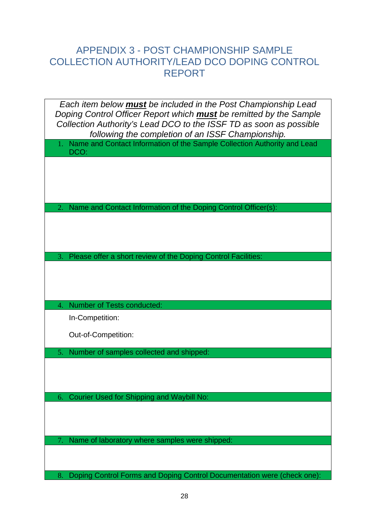## <span id="page-27-0"></span>APPENDIX 3 - POST CHAMPIONSHIP SAMPLE COLLECTION AUTHORITY/LEAD DCO DOPING CONTROL REPORT

| Each item below <b>must</b> be included in the Post Championship Lead<br>Doping Control Officer Report which <b>must</b> be remitted by the Sample<br>Collection Authority's Lead DCO to the ISSF TD as soon as possible |
|--------------------------------------------------------------------------------------------------------------------------------------------------------------------------------------------------------------------------|
| following the completion of an ISSF Championship.                                                                                                                                                                        |
| Name and Contact Information of the Sample Collection Authority and Lead<br>DCO:                                                                                                                                         |
|                                                                                                                                                                                                                          |
|                                                                                                                                                                                                                          |
|                                                                                                                                                                                                                          |
| Name and Contact Information of the Doping Control Officer(s):<br>2.                                                                                                                                                     |
|                                                                                                                                                                                                                          |
|                                                                                                                                                                                                                          |
|                                                                                                                                                                                                                          |
| Please offer a short review of the Doping Control Facilities:<br>3.                                                                                                                                                      |
|                                                                                                                                                                                                                          |
|                                                                                                                                                                                                                          |
| Number of Tests conducted:<br>4.                                                                                                                                                                                         |
| In-Competition:                                                                                                                                                                                                          |
|                                                                                                                                                                                                                          |
| Out-of-Competition:                                                                                                                                                                                                      |
|                                                                                                                                                                                                                          |
| Number of samples collected and shipped:<br>5 <sub>1</sub>                                                                                                                                                               |
|                                                                                                                                                                                                                          |
|                                                                                                                                                                                                                          |
| <b>Courier Used for Shipping and Waybill No:</b><br>6.                                                                                                                                                                   |
|                                                                                                                                                                                                                          |
|                                                                                                                                                                                                                          |
| Name of laboratory where samples were shipped:                                                                                                                                                                           |
|                                                                                                                                                                                                                          |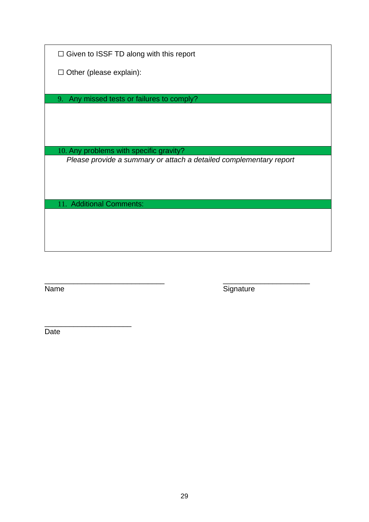□ Given to ISSF TD along with this report

☐ Other (please explain):

9. Any missed tests or failures to comply?

10. Any problems with specific gravity?

*Please provide a summary or attach a detailed complementary report*

11. Additional Comments:

\_\_\_\_\_\_\_\_\_\_\_\_\_\_\_\_\_\_\_\_\_\_\_\_\_\_\_\_\_ \_\_\_\_\_\_\_\_\_\_\_\_\_\_\_\_\_\_\_\_\_ Name Signature

\_\_\_\_\_\_\_\_\_\_\_\_\_\_\_\_\_\_\_\_\_ Date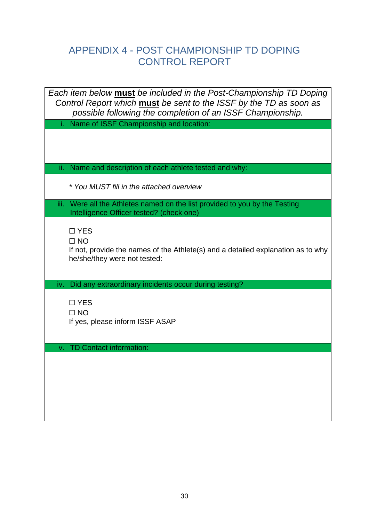# <span id="page-29-0"></span>APPENDIX 4 - POST CHAMPIONSHIP TD DOPING CONTROL REPORT

| Each item below <b>must</b> be included in the Post-Championship TD Doping                                                       |
|----------------------------------------------------------------------------------------------------------------------------------|
| Control Report which must be sent to the ISSF by the TD as soon as<br>possible following the completion of an ISSF Championship. |
| Name of ISSF Championship and location:                                                                                          |
|                                                                                                                                  |
|                                                                                                                                  |
| Name and description of each athlete tested and why:<br>ii.                                                                      |
|                                                                                                                                  |
| * You MUST fill in the attached overview                                                                                         |
| iii. Were all the Athletes named on the list provided to you by the Testing                                                      |
| Intelligence Officer tested? (check one)                                                                                         |
| $\Box$ YES                                                                                                                       |
| $\Box$ NO<br>If not, provide the names of the Athlete(s) and a detailed explanation as to why                                    |
| he/she/they were not tested:                                                                                                     |
|                                                                                                                                  |
| iv. Did any extraordinary incidents occur during testing?                                                                        |
| $\Box$ YES                                                                                                                       |
| $\Box$ NO                                                                                                                        |
| If yes, please inform ISSF ASAP                                                                                                  |
|                                                                                                                                  |
| <b>TD Contact information:</b><br>V.                                                                                             |
|                                                                                                                                  |
|                                                                                                                                  |
|                                                                                                                                  |
|                                                                                                                                  |
|                                                                                                                                  |